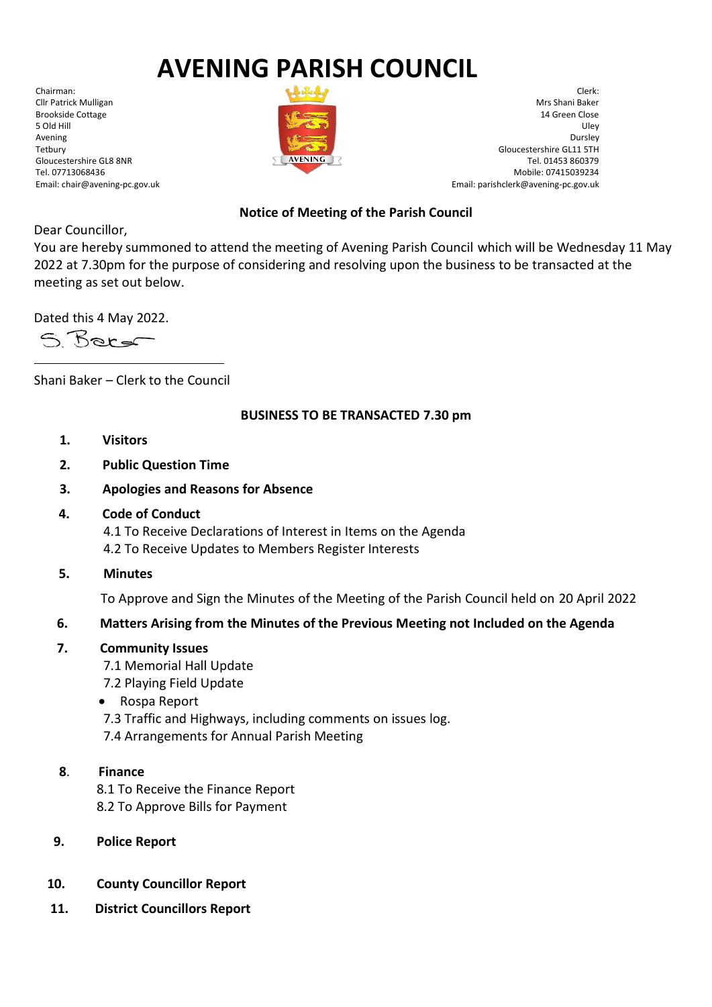# **AVENING PARISH COUNCIL**

Chairman: Cllr Patrick Mulligan Brookside Cottage 5 Old Hill Avening Tetbury Gloucestershire GL8 8NR Tel. 07713068436 Email: chair@avening-pc.gov.uk



Clerk: Mrs Shani Baker 14 Green Close Uley Dursley Gloucestershire GL11 5TH Tel. 01453 860379 Mobile: 07415039234 Email: parishclerk@avening-pc.gov.uk

## **Notice of Meeting of the Parish Council**

Dear Councillor,

You are hereby summoned to attend the meeting of Avening Parish Council which will be Wednesday 11 May 2022 at 7.30pm for the purpose of considering and resolving upon the business to be transacted at the meeting as set out below.

Dated this 4 May 2022.

S. Berg

Shani Baker – Clerk to the Council

### **BUSINESS TO BE TRANSACTED 7.30 pm**

- **1. Visitors**
- **2. Public Question Time**
- **3. Apologies and Reasons for Absence**
- **4. Code of Conduct**

 4.1 To Receive Declarations of Interest in Items on the Agenda 4.2 To Receive Updates to Members Register Interests

**5. Minutes**

To Approve and Sign the Minutes of the Meeting of the Parish Council held on 20 April 2022

## **6. Matters Arising from the Minutes of the Previous Meeting not Included on the Agenda**

## **7. Community Issues**

 7.1 Memorial Hall Update 7.2 Playing Field Update

- Rospa Report
- 7.3 Traffic and Highways, including comments on issues log.
- 7.4 Arrangements for Annual Parish Meeting
- **8**. **Finance**

 8.1 To Receive the Finance Report 8.2 To Approve Bills for Payment

- **9. Police Report**
- **10. County Councillor Report**
- **11. District Councillors Report**